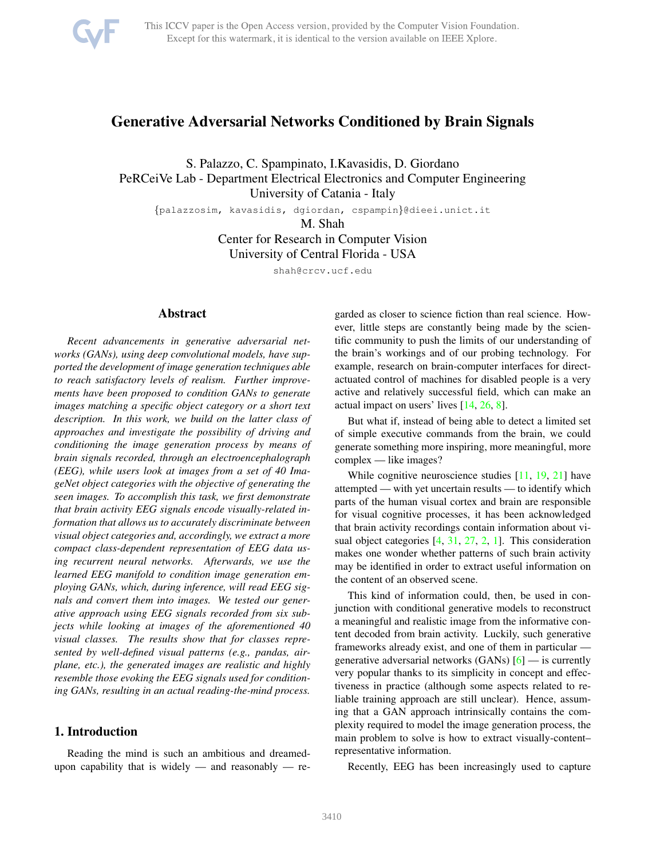<span id="page-0-0"></span>

# Generative Adversarial Networks Conditioned by Brain Signals

S. Palazzo, C. Spampinato, I.Kavasidis, D. Giordano PeRCeiVe Lab - Department Electrical Electronics and Computer Engineering University of Catania - Italy

{palazzosim, kavasidis, dgiordan, cspampin}@dieei.unict.it

M. Shah

Center for Research in Computer Vision University of Central Florida - USA

shah@crcv.ucf.edu

## Abstract

*Recent advancements in generative adversarial networks (GANs), using deep convolutional models, have supported the development of image generation techniques able to reach satisfactory levels of realism. Further improvements have been proposed to condition GANs to generate images matching a specific object category or a short text description. In this work, we build on the latter class of approaches and investigate the possibility of driving and conditioning the image generation process by means of brain signals recorded, through an electroencephalograph (EEG), while users look at images from a set of 40 ImageNet object categories with the objective of generating the seen images. To accomplish this task, we first demonstrate that brain activity EEG signals encode visually-related information that allows us to accurately discriminate between visual object categories and, accordingly, we extract a more compact class-dependent representation of EEG data using recurrent neural networks. Afterwards, we use the learned EEG manifold to condition image generation employing GANs, which, during inference, will read EEG signals and convert them into images. We tested our generative approach using EEG signals recorded from six subjects while looking at images of the aforementioned 40 visual classes. The results show that for classes represented by well-defined visual patterns (e.g., pandas, airplane, etc.), the generated images are realistic and highly resemble those evoking the EEG signals used for conditioning GANs, resulting in an actual reading-the-mind process.*

# 1. Introduction

Reading the mind is such an ambitious and dreamedupon capability that is widely — and reasonably — regarded as closer to science fiction than real science. However, little steps are constantly being made by the scientific community to push the limits of our understanding of the brain's workings and of our probing technology. For example, research on brain-computer interfaces for directactuated control of machines for disabled people is a very active and relatively successful field, which can make an actual impact on users' lives [\[14,](#page-8-0) [26,](#page-8-1) [8\]](#page-8-2).

But what if, instead of being able to detect a limited set of simple executive commands from the brain, we could generate something more inspiring, more meaningful, more complex — like images?

While cognitive neuroscience studies [\[11,](#page-8-3) [19,](#page-8-4) [21\]](#page-8-5) have attempted — with yet uncertain results — to identify which parts of the human visual cortex and brain are responsible for visual cognitive processes, it has been acknowledged that brain activity recordings contain information about visual object categories [\[4,](#page-8-6) [31,](#page-8-7) [27,](#page-8-8) [2,](#page-8-9) [1\]](#page-8-10). This consideration makes one wonder whether patterns of such brain activity may be identified in order to extract useful information on the content of an observed scene.

This kind of information could, then, be used in conjunction with conditional generative models to reconstruct a meaningful and realistic image from the informative content decoded from brain activity. Luckily, such generative frameworks already exist, and one of them in particular generative adversarial networks  $(GANs)$  [\[6\]](#page-8-11) — is currently very popular thanks to its simplicity in concept and effectiveness in practice (although some aspects related to reliable training approach are still unclear). Hence, assuming that a GAN approach intrinsically contains the complexity required to model the image generation process, the main problem to solve is how to extract visually-content– representative information.

Recently, EEG has been increasingly used to capture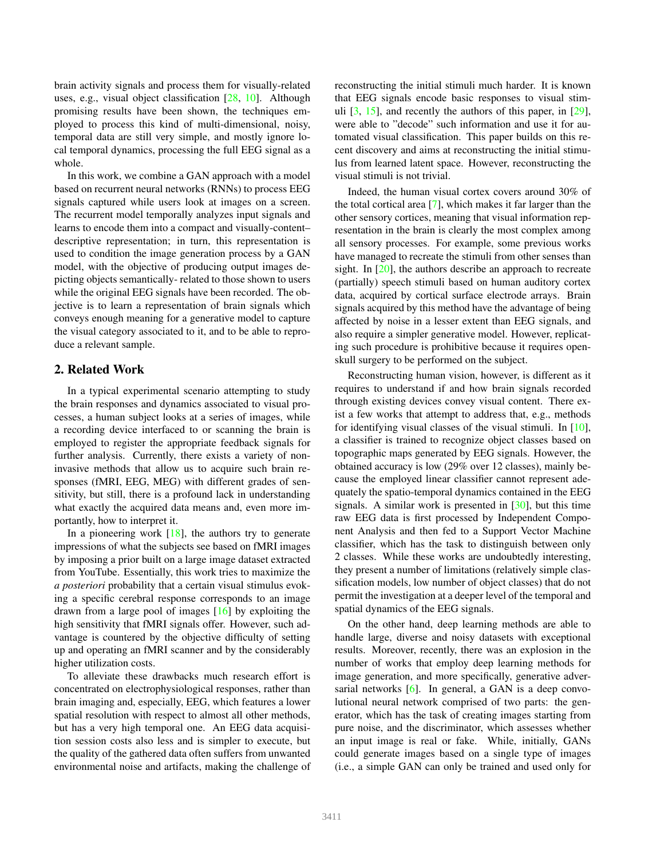<span id="page-1-0"></span>brain activity signals and process them for visually-related uses, e.g., visual object classification [\[28,](#page-8-12) [10\]](#page-8-13). Although promising results have been shown, the techniques employed to process this kind of multi-dimensional, noisy, temporal data are still very simple, and mostly ignore local temporal dynamics, processing the full EEG signal as a whole.

In this work, we combine a GAN approach with a model based on recurrent neural networks (RNNs) to process EEG signals captured while users look at images on a screen. The recurrent model temporally analyzes input signals and learns to encode them into a compact and visually-content– descriptive representation; in turn, this representation is used to condition the image generation process by a GAN model, with the objective of producing output images depicting objects semantically- related to those shown to users while the original EEG signals have been recorded. The objective is to learn a representation of brain signals which conveys enough meaning for a generative model to capture the visual category associated to it, and to be able to reproduce a relevant sample.

## 2. Related Work

In a typical experimental scenario attempting to study the brain responses and dynamics associated to visual processes, a human subject looks at a series of images, while a recording device interfaced to or scanning the brain is employed to register the appropriate feedback signals for further analysis. Currently, there exists a variety of noninvasive methods that allow us to acquire such brain responses (fMRI, EEG, MEG) with different grades of sensitivity, but still, there is a profound lack in understanding what exactly the acquired data means and, even more importantly, how to interpret it.

In a pioneering work  $[18]$ , the authors try to generate impressions of what the subjects see based on fMRI images by imposing a prior built on a large image dataset extracted from YouTube. Essentially, this work tries to maximize the *a posteriori* probability that a certain visual stimulus evoking a specific cerebral response corresponds to an image drawn from a large pool of images [\[16\]](#page-8-15) by exploiting the high sensitivity that fMRI signals offer. However, such advantage is countered by the objective difficulty of setting up and operating an fMRI scanner and by the considerably higher utilization costs.

To alleviate these drawbacks much research effort is concentrated on electrophysiological responses, rather than brain imaging and, especially, EEG, which features a lower spatial resolution with respect to almost all other methods, but has a very high temporal one. An EEG data acquisition session costs also less and is simpler to execute, but the quality of the gathered data often suffers from unwanted environmental noise and artifacts, making the challenge of reconstructing the initial stimuli much harder. It is known that EEG signals encode basic responses to visual stimuli  $[3, 15]$  $[3, 15]$ , and recently the authors of this paper, in  $[29]$ , were able to "decode" such information and use it for automated visual classification. This paper builds on this recent discovery and aims at reconstructing the initial stimulus from learned latent space. However, reconstructing the visual stimuli is not trivial.

Indeed, the human visual cortex covers around 30% of the total cortical area [\[7\]](#page-8-19), which makes it far larger than the other sensory cortices, meaning that visual information representation in the brain is clearly the most complex among all sensory processes. For example, some previous works have managed to recreate the stimuli from other senses than sight. In [\[20\]](#page-8-20), the authors describe an approach to recreate (partially) speech stimuli based on human auditory cortex data, acquired by cortical surface electrode arrays. Brain signals acquired by this method have the advantage of being affected by noise in a lesser extent than EEG signals, and also require a simpler generative model. However, replicating such procedure is prohibitive because it requires openskull surgery to be performed on the subject.

Reconstructing human vision, however, is different as it requires to understand if and how brain signals recorded through existing devices convey visual content. There exist a few works that attempt to address that, e.g., methods for identifying visual classes of the visual stimuli. In [\[10\]](#page-8-13), a classifier is trained to recognize object classes based on topographic maps generated by EEG signals. However, the obtained accuracy is low (29% over 12 classes), mainly because the employed linear classifier cannot represent adequately the spatio-temporal dynamics contained in the EEG signals. A similar work is presented in [\[30\]](#page-8-21), but this time raw EEG data is first processed by Independent Component Analysis and then fed to a Support Vector Machine classifier, which has the task to distinguish between only 2 classes. While these works are undoubtedly interesting, they present a number of limitations (relatively simple classification models, low number of object classes) that do not permit the investigation at a deeper level of the temporal and spatial dynamics of the EEG signals.

On the other hand, deep learning methods are able to handle large, diverse and noisy datasets with exceptional results. Moreover, recently, there was an explosion in the number of works that employ deep learning methods for image generation, and more specifically, generative adversarial networks  $[6]$ . In general, a GAN is a deep convolutional neural network comprised of two parts: the generator, which has the task of creating images starting from pure noise, and the discriminator, which assesses whether an input image is real or fake. While, initially, GANs could generate images based on a single type of images (i.e., a simple GAN can only be trained and used only for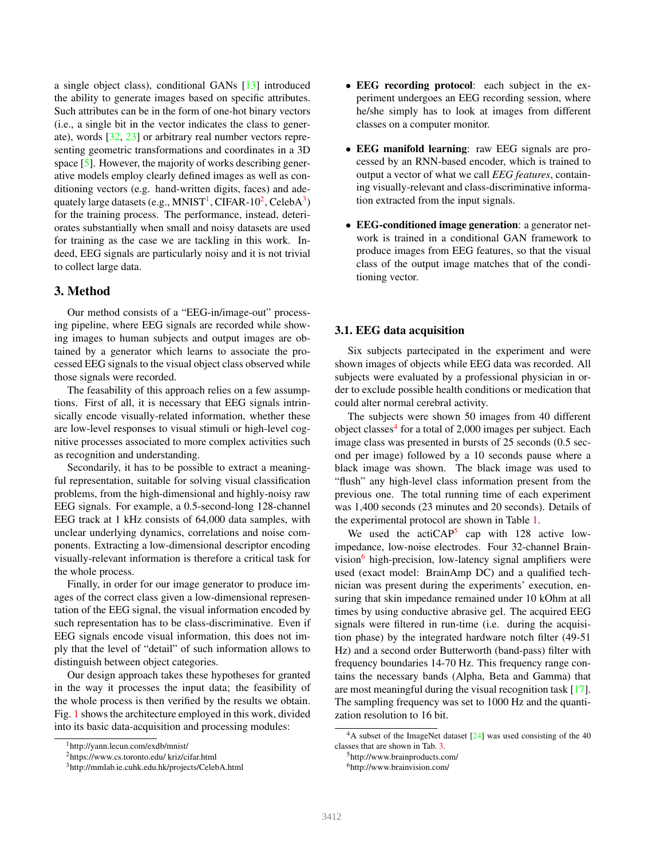<span id="page-2-6"></span>a single object class), conditional GANs [\[13\]](#page-8-22) introduced the ability to generate images based on specific attributes. Such attributes can be in the form of one-hot binary vectors (i.e., a single bit in the vector indicates the class to generate), words [\[32,](#page-8-23) [23\]](#page-8-24) or arbitrary real number vectors representing geometric transformations and coordinates in a 3D space [\[5\]](#page-8-25). However, the majority of works describing generative models employ clearly defined images as well as conditioning vectors (e.g. hand-written digits, faces) and adequately large datasets (e.g., MNIST $^1$  $^1$ , CIFAR-10<sup>[2](#page-2-1)</sup>, CelebA $^3$  $^3$ ) for the training process. The performance, instead, deteriorates substantially when small and noisy datasets are used for training as the case we are tackling in this work. Indeed, EEG signals are particularly noisy and it is not trivial to collect large data.

# 3. Method

Our method consists of a "EEG-in/image-out" processing pipeline, where EEG signals are recorded while showing images to human subjects and output images are obtained by a generator which learns to associate the processed EEG signals to the visual object class observed while those signals were recorded.

The feasability of this approach relies on a few assumptions. First of all, it is necessary that EEG signals intrinsically encode visually-related information, whether these are low-level responses to visual stimuli or high-level cognitive processes associated to more complex activities such as recognition and understanding.

Secondarily, it has to be possible to extract a meaningful representation, suitable for solving visual classification problems, from the high-dimensional and highly-noisy raw EEG signals. For example, a 0.5-second-long 128-channel EEG track at 1 kHz consists of 64,000 data samples, with unclear underlying dynamics, correlations and noise components. Extracting a low-dimensional descriptor encoding visually-relevant information is therefore a critical task for the whole process.

Finally, in order for our image generator to produce images of the correct class given a low-dimensional representation of the EEG signal, the visual information encoded by such representation has to be class-discriminative. Even if EEG signals encode visual information, this does not imply that the level of "detail" of such information allows to distinguish between object categories.

Our design approach takes these hypotheses for granted in the way it processes the input data; the feasibility of the whole process is then verified by the results we obtain. Fig. [1](#page-3-0) shows the architecture employed in this work, divided into its basic data-acquisition and processing modules:

- EEG recording protocol: each subject in the experiment undergoes an EEG recording session, where he/she simply has to look at images from different classes on a computer monitor.
- EEG manifold learning: raw EEG signals are processed by an RNN-based encoder, which is trained to output a vector of what we call *EEG features*, containing visually-relevant and class-discriminative information extracted from the input signals.
- EEG-conditioned image generation: a generator network is trained in a conditional GAN framework to produce images from EEG features, so that the visual class of the output image matches that of the conditioning vector.

#### 3.1. EEG data acquisition

Six subjects partecipated in the experiment and were shown images of objects while EEG data was recorded. All subjects were evaluated by a professional physician in order to exclude possible health conditions or medication that could alter normal cerebral activity.

The subjects were shown 50 images from 40 different object classes<sup>[4](#page-2-3)</sup> for a total of 2,000 images per subject. Each image class was presented in bursts of 25 seconds (0.5 second per image) followed by a 10 seconds pause where a black image was shown. The black image was used to "flush" any high-level class information present from the previous one. The total running time of each experiment was 1,400 seconds (23 minutes and 20 seconds). Details of the experimental protocol are shown in Table [1.](#page-3-1)

We used the actiCAP<sup>[5](#page-2-4)</sup> cap with  $128$  active lowimpedance, low-noise electrodes. Four 32-channel Brainvision $\delta$  high-precision, low-latency signal amplifiers were used (exact model: BrainAmp DC) and a qualified technician was present during the experiments' execution, ensuring that skin impedance remained under 10 kOhm at all times by using conductive abrasive gel. The acquired EEG signals were filtered in run-time (i.e. during the acquisition phase) by the integrated hardware notch filter (49-51 Hz) and a second order Butterworth (band-pass) filter with frequency boundaries 14-70 Hz. This frequency range contains the necessary bands (Alpha, Beta and Gamma) that are most meaningful during the visual recognition task [\[17\]](#page-8-26). The sampling frequency was set to 1000 Hz and the quantization resolution to 16 bit.

<span id="page-2-0"></span><sup>1</sup>http://yann.lecun.com/exdb/mnist/

<span id="page-2-1"></span><sup>2</sup>https://www.cs.toronto.edu/ kriz/cifar.html

<span id="page-2-2"></span><sup>3</sup>http://mmlab.ie.cuhk.edu.hk/projects/CelebA.html

<span id="page-2-3"></span> $4A$  subset of the ImageNet dataset  $[24]$  was used consisting of the 40 classes that are shown in Tab. [3.](#page-6-0)

<span id="page-2-5"></span><span id="page-2-4"></span><sup>5</sup>http://www.brainproducts.com/ <sup>6</sup>http://www.brainvision.com/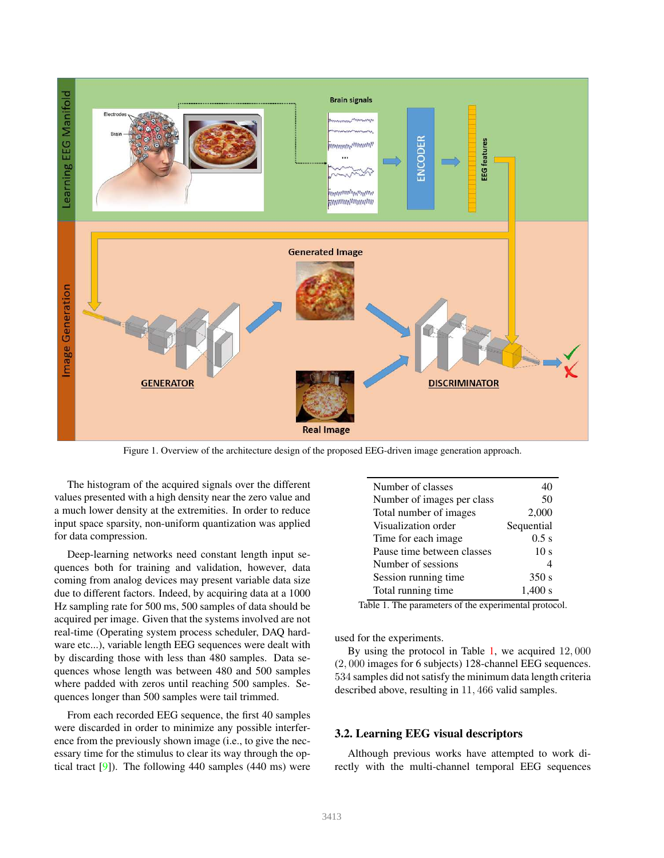<span id="page-3-3"></span>

<span id="page-3-0"></span>Figure 1. Overview of the architecture design of the proposed EEG-driven image generation approach.

The histogram of the acquired signals over the different values presented with a high density near the zero value and a much lower density at the extremities. In order to reduce input space sparsity, non-uniform quantization was applied for data compression.

Deep-learning networks need constant length input sequences both for training and validation, however, data coming from analog devices may present variable data size due to different factors. Indeed, by acquiring data at a 1000 Hz sampling rate for 500 ms, 500 samples of data should be acquired per image. Given that the systems involved are not real-time (Operating system process scheduler, DAQ hardware etc...), variable length EEG sequences were dealt with by discarding those with less than 480 samples. Data sequences whose length was between 480 and 500 samples where padded with zeros until reaching 500 samples. Sequences longer than 500 samples were tail trimmed.

From each recorded EEG sequence, the first 40 samples were discarded in order to minimize any possible interference from the previously shown image (i.e., to give the necessary time for the stimulus to clear its way through the optical tract [\[9\]](#page-8-28)). The following 440 samples (440 ms) were

| Number of classes          | 40              |
|----------------------------|-----------------|
| Number of images per class | 50              |
| Total number of images     | 2,000           |
| Visualization order        | Sequential      |
| Time for each image        | 0.5 s           |
| Pause time between classes | 10 <sub>s</sub> |
| Number of sessions         |                 |
| Session running time       | 350 s           |
| Total running time         | 1.400 s         |

<span id="page-3-1"></span>Table 1. The parameters of the experimental protocol.

used for the experiments.

By using the protocol in Table [1,](#page-3-1) we acquired 12, 000 (2, 000 images for 6 subjects) 128-channel EEG sequences. 534 samples did not satisfy the minimum data length criteria described above, resulting in 11, 466 valid samples.

#### <span id="page-3-2"></span>3.2. Learning EEG visual descriptors

Although previous works have attempted to work directly with the multi-channel temporal EEG sequences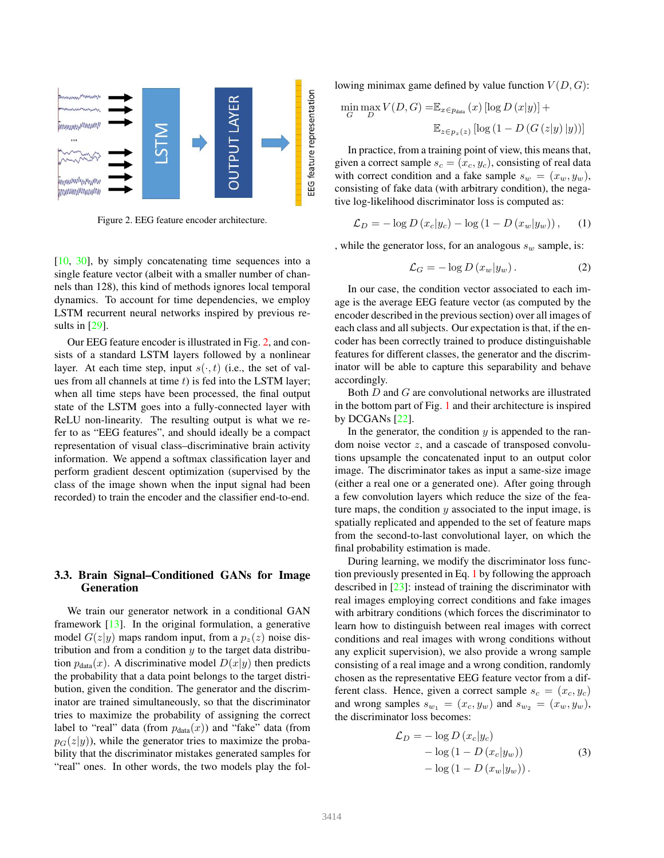<span id="page-4-3"></span>

<span id="page-4-0"></span>Figure 2. EEG feature encoder architecture.

[\[10,](#page-8-13) [30\]](#page-8-21), by simply concatenating time sequences into a single feature vector (albeit with a smaller number of channels than 128), this kind of methods ignores local temporal dynamics. To account for time dependencies, we employ LSTM recurrent neural networks inspired by previous results in [\[29\]](#page-8-18).

Our EEG feature encoder is illustrated in Fig. [2,](#page-4-0) and consists of a standard LSTM layers followed by a nonlinear layer. At each time step, input  $s(\cdot, t)$  (i.e., the set of values from all channels at time  $t$ ) is fed into the LSTM layer; when all time steps have been processed, the final output state of the LSTM goes into a fully-connected layer with ReLU non-linearity. The resulting output is what we refer to as "EEG features", and should ideally be a compact representation of visual class–discriminative brain activity information. We append a softmax classification layer and perform gradient descent optimization (supervised by the class of the image shown when the input signal had been recorded) to train the encoder and the classifier end-to-end.

## 3.3. Brain Signal–Conditioned GANs for Image Generation

We train our generator network in a conditional GAN framework [\[13\]](#page-8-22). In the original formulation, a generative model  $G(z|y)$  maps random input, from a  $p_z(z)$  noise distribution and from a condition  $y$  to the target data distribution  $p_{data}(x)$ . A discriminative model  $D(x|y)$  then predicts the probability that a data point belongs to the target distribution, given the condition. The generator and the discriminator are trained simultaneously, so that the discriminator tries to maximize the probability of assigning the correct label to "real" data (from  $p_{data}(x)$ ) and "fake" data (from  $p<sub>G</sub>(z|y)$ , while the generator tries to maximize the probability that the discriminator mistakes generated samples for "real" ones. In other words, the two models play the following minimax game defined by value function  $V(D, G)$ :

$$
\min_{G} \max_{D} V(D, G) = \mathbb{E}_{x \in p_{data}}(x) [\log D(x|y)] +
$$

$$
\mathbb{E}_{z \in p_{z}(z)} [\log (1 - D(G(z|y)|y))]
$$

In practice, from a training point of view, this means that, given a correct sample  $s_c = (x_c, y_c)$ , consisting of real data with correct condition and a fake sample  $s_w = (x_w, y_w)$ , consisting of fake data (with arbitrary condition), the negative log-likelihood discriminator loss is computed as:

<span id="page-4-1"></span>
$$
\mathcal{L}_D = -\log D \left( x_c | y_c \right) - \log \left( 1 - D \left( x_w | y_w \right) \right), \tag{1}
$$

, while the generator loss, for an analogous  $s_w$  sample, is:

$$
\mathcal{L}_G = -\log D\left(x_w|y_w\right). \tag{2}
$$

In our case, the condition vector associated to each image is the average EEG feature vector (as computed by the encoder described in the previous section) over all images of each class and all subjects. Our expectation is that, if the encoder has been correctly trained to produce distinguishable features for different classes, the generator and the discriminator will be able to capture this separability and behave accordingly.

Both D and G are convolutional networks are illustrated in the bottom part of Fig. [1](#page-3-0) and their architecture is inspired by DCGANs  $[22]$ .

In the generator, the condition  $y$  is appended to the random noise vector z, and a cascade of transposed convolutions upsample the concatenated input to an output color image. The discriminator takes as input a same-size image (either a real one or a generated one). After going through a few convolution layers which reduce the size of the feature maps, the condition  $y$  associated to the input image, is spatially replicated and appended to the set of feature maps from the second-to-last convolutional layer, on which the final probability estimation is made.

During learning, we modify the discriminator loss function previously presented in Eq. [1](#page-4-1) by following the approach described in [\[23\]](#page-8-24): instead of training the discriminator with real images employing correct conditions and fake images with arbitrary conditions (which forces the discriminator to learn how to distinguish between real images with correct conditions and real images with wrong conditions without any explicit supervision), we also provide a wrong sample consisting of a real image and a wrong condition, randomly chosen as the representative EEG feature vector from a different class. Hence, given a correct sample  $s_c = (x_c, y_c)$ and wrong samples  $s_{w_1} = (x_c, y_w)$  and  $s_{w_2} = (x_w, y_w)$ , the discriminator loss becomes:

<span id="page-4-2"></span>
$$
\mathcal{L}_D = -\log D(x_c|y_c) \n- \log (1 - D(x_c|y_w)) \n- \log (1 - D(x_w|y_w)).
$$
\n(3)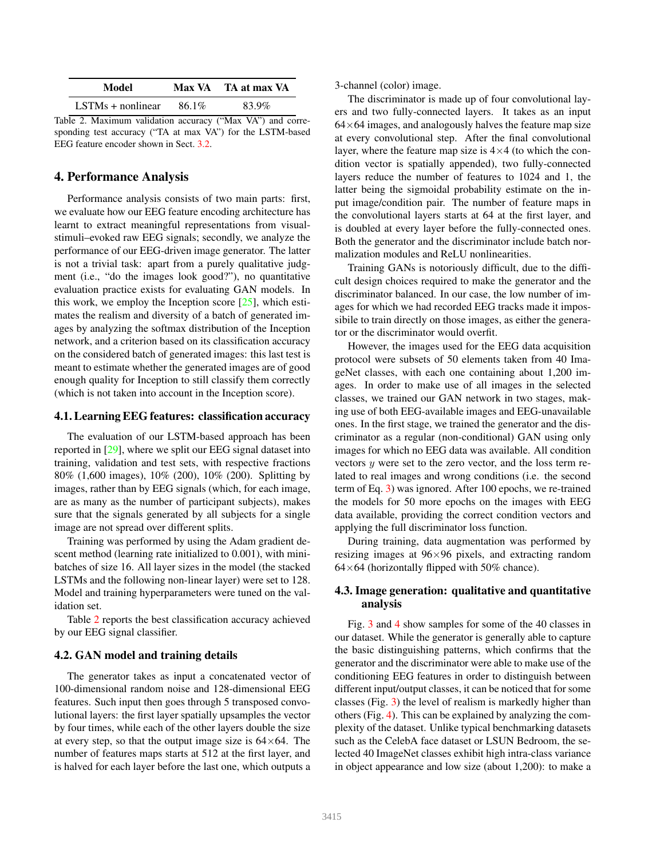<span id="page-5-1"></span><span id="page-5-0"></span>

| Model               |       | Max VA TA at max VA |
|---------------------|-------|---------------------|
| $LSTMs + nonlinear$ | 86.1% | 83.9%               |

Table 2. Maximum validation accuracy ("Max VA") and corresponding test accuracy ("TA at max VA") for the LSTM-based EEG feature encoder shown in Sect. [3.2.](#page-3-2)

### 4. Performance Analysis

Performance analysis consists of two main parts: first, we evaluate how our EEG feature encoding architecture has learnt to extract meaningful representations from visualstimuli–evoked raw EEG signals; secondly, we analyze the performance of our EEG-driven image generator. The latter is not a trivial task: apart from a purely qualitative judgment (i.e., "do the images look good?"), no quantitative evaluation practice exists for evaluating GAN models. In this work, we employ the Inception score  $[25]$ , which estimates the realism and diversity of a batch of generated images by analyzing the softmax distribution of the Inception network, and a criterion based on its classification accuracy on the considered batch of generated images: this last test is meant to estimate whether the generated images are of good enough quality for Inception to still classify them correctly (which is not taken into account in the Inception score).

#### 4.1. Learning EEG features: classification accuracy

The evaluation of our LSTM-based approach has been reported in [\[29\]](#page-8-18), where we split our EEG signal dataset into training, validation and test sets, with respective fractions 80% (1,600 images), 10% (200), 10% (200). Splitting by images, rather than by EEG signals (which, for each image, are as many as the number of participant subjects), makes sure that the signals generated by all subjects for a single image are not spread over different splits.

Training was performed by using the Adam gradient descent method (learning rate initialized to 0.001), with minibatches of size 16. All layer sizes in the model (the stacked LSTMs and the following non-linear layer) were set to 128. Model and training hyperparameters were tuned on the validation set.

Table [2](#page-5-0) reports the best classification accuracy achieved by our EEG signal classifier.

#### 4.2. GAN model and training details

The generator takes as input a concatenated vector of 100-dimensional random noise and 128-dimensional EEG features. Such input then goes through 5 transposed convolutional layers: the first layer spatially upsamples the vector by four times, while each of the other layers double the size at every step, so that the output image size is  $64\times64$ . The number of features maps starts at 512 at the first layer, and is halved for each layer before the last one, which outputs a

3-channel (color) image.

The discriminator is made up of four convolutional layers and two fully-connected layers. It takes as an input  $64\times64$  images, and analogously halves the feature map size at every convolutional step. After the final convolutional layer, where the feature map size is  $4\times4$  (to which the condition vector is spatially appended), two fully-connected layers reduce the number of features to 1024 and 1, the latter being the sigmoidal probability estimate on the input image/condition pair. The number of feature maps in the convolutional layers starts at 64 at the first layer, and is doubled at every layer before the fully-connected ones. Both the generator and the discriminator include batch normalization modules and ReLU nonlinearities.

Training GANs is notoriously difficult, due to the difficult design choices required to make the generator and the discriminator balanced. In our case, the low number of images for which we had recorded EEG tracks made it impossibile to train directly on those images, as either the generator or the discriminator would overfit.

However, the images used for the EEG data acquisition protocol were subsets of 50 elements taken from 40 ImageNet classes, with each one containing about 1,200 images. In order to make use of all images in the selected classes, we trained our GAN network in two stages, making use of both EEG-available images and EEG-unavailable ones. In the first stage, we trained the generator and the discriminator as a regular (non-conditional) GAN using only images for which no EEG data was available. All condition vectors  $y$  were set to the zero vector, and the loss term related to real images and wrong conditions (i.e. the second term of Eq. [3\)](#page-4-2) was ignored. After 100 epochs, we re-trained the models for 50 more epochs on the images with EEG data available, providing the correct condition vectors and applying the full discriminator loss function.

During training, data augmentation was performed by resizing images at 96×96 pixels, and extracting random  $64\times64$  (horizontally flipped with 50% chance).

### 4.3. Image generation: qualitative and quantitative analysis

Fig. [3](#page-7-0) and [4](#page-7-1) show samples for some of the 40 classes in our dataset. While the generator is generally able to capture the basic distinguishing patterns, which confirms that the generator and the discriminator were able to make use of the conditioning EEG features in order to distinguish between different input/output classes, it can be noticed that for some classes (Fig. [3\)](#page-7-0) the level of realism is markedly higher than others (Fig. [4\)](#page-7-1). This can be explained by analyzing the complexity of the dataset. Unlike typical benchmarking datasets such as the CelebA face dataset or LSUN Bedroom, the selected 40 ImageNet classes exhibit high intra-class variance in object appearance and low size (about 1,200): to make a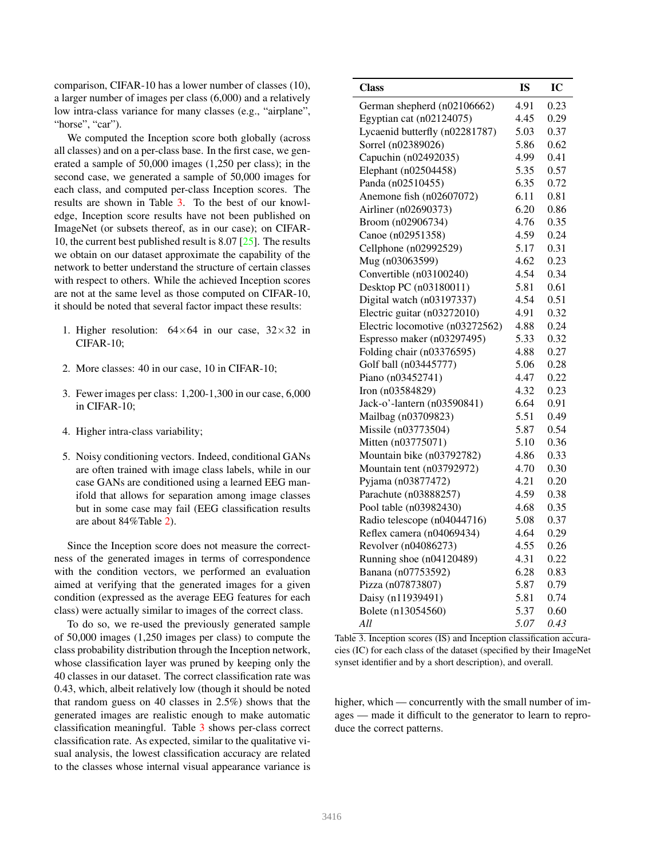<span id="page-6-1"></span>comparison, CIFAR-10 has a lower number of classes (10), a larger number of images per class (6,000) and a relatively low intra-class variance for many classes (e.g., "airplane", "horse", "car").

We computed the Inception score both globally (across all classes) and on a per-class base. In the first case, we generated a sample of 50,000 images (1,250 per class); in the second case, we generated a sample of 50,000 images for each class, and computed per-class Inception scores. The results are shown in Table [3.](#page-6-0) To the best of our knowledge, Inception score results have not been published on ImageNet (or subsets thereof, as in our case); on CIFAR-10, the current best published result is 8.07 [\[25\]](#page-8-30). The results we obtain on our dataset approximate the capability of the network to better understand the structure of certain classes with respect to others. While the achieved Inception scores are not at the same level as those computed on CIFAR-10, it should be noted that several factor impact these results:

- 1. Higher resolution:  $64\times64$  in our case,  $32\times32$  in CIFAR-10;
- 2. More classes: 40 in our case, 10 in CIFAR-10;
- 3. Fewer images per class: 1,200-1,300 in our case, 6,000 in CIFAR-10;
- 4. Higher intra-class variability;
- 5. Noisy conditioning vectors. Indeed, conditional GANs are often trained with image class labels, while in our case GANs are conditioned using a learned EEG manifold that allows for separation among image classes but in some case may fail (EEG classification results are about 84%Table [2\)](#page-5-0).

Since the Inception score does not measure the correctness of the generated images in terms of correspondence with the condition vectors, we performed an evaluation aimed at verifying that the generated images for a given condition (expressed as the average EEG features for each class) were actually similar to images of the correct class.

To do so, we re-used the previously generated sample of 50,000 images (1,250 images per class) to compute the class probability distribution through the Inception network, whose classification layer was pruned by keeping only the 40 classes in our dataset. The correct classification rate was 0.43, which, albeit relatively low (though it should be noted that random guess on 40 classes in 2.5%) shows that the generated images are realistic enough to make automatic classification meaningful. Table [3](#page-6-0) shows per-class correct classification rate. As expected, similar to the qualitative visual analysis, the lowest classification accuracy are related to the classes whose internal visual appearance variance is

| <b>Class</b>                    | <b>IS</b> | IC   |
|---------------------------------|-----------|------|
| German shepherd (n02106662)     | 4.91      | 0.23 |
| Egyptian cat (n02124075)        | 4.45      | 0.29 |
| Lycaenid butterfly (n02281787)  | 5.03      | 0.37 |
| Sorrel (n02389026)              | 5.86      | 0.62 |
| Capuchin (n02492035)            | 4.99      | 0.41 |
| Elephant (n02504458)            | 5.35      | 0.57 |
| Panda (n02510455)               | 6.35      | 0.72 |
| Anemone fish (n02607072)        | 6.11      | 0.81 |
| Airliner (n02690373)            | 6.20      | 0.86 |
| Broom (n02906734)               | 4.76      | 0.35 |
| Canoe (n02951358)               | 4.59      | 0.24 |
| Cellphone (n02992529)           | 5.17      | 0.31 |
| Mug (n03063599)                 | 4.62      | 0.23 |
| Convertible (n03100240)         | 4.54      | 0.34 |
| Desktop PC (n03180011)          | 5.81      | 0.61 |
| Digital watch (n03197337)       | 4.54      | 0.51 |
| Electric guitar (n03272010)     | 4.91      | 0.32 |
| Electric locomotive (n03272562) | 4.88      | 0.24 |
| Espresso maker (n03297495)      | 5.33      | 0.32 |
| Folding chair (n03376595)       | 4.88      | 0.27 |
| Golf ball (n03445777)           | 5.06      | 0.28 |
| Piano (n03452741)               | 4.47      | 0.22 |
| Iron (n03584829)                | 4.32      | 0.23 |
| Jack-o'-lantern (n03590841)     | 6.64      | 0.91 |
| Mailbag (n03709823)             | 5.51      | 0.49 |
| Missile (n03773504)             | 5.87      | 0.54 |
| Mitten (n03775071)              | 5.10      | 0.36 |
| Mountain bike (n03792782)       | 4.86      | 0.33 |
| Mountain tent (n03792972)       | 4.70      | 0.30 |
| Pyjama (n03877472)              | 4.21      | 0.20 |
| Parachute (n03888257)           | 4.59      | 0.38 |
| Pool table (n03982430)          | 4.68      | 0.35 |
| Radio telescope (n04044716)     | 5.08      | 0.37 |
| Reflex camera (n04069434)       | 4.64      | 0.29 |
| Revolver (n04086273)            | 4.55      | 0.26 |
| Running shoe (n04120489)        | 4.31      | 0.22 |
| Banana (n07753592)              | 6.28      | 0.83 |
| Pizza (n07873807)               | 5.87      | 0.79 |
| Daisy (n11939491)               | 5.81      | 0.74 |
| Bolete (n13054560)              | 5.37      | 0.60 |
| All                             | 5.07      | 0.43 |

<span id="page-6-0"></span>Table 3. Inception scores (IS) and Inception classification accuracies (IC) for each class of the dataset (specified by their ImageNet synset identifier and by a short description), and overall.

higher, which — concurrently with the small number of images — made it difficult to the generator to learn to reproduce the correct patterns.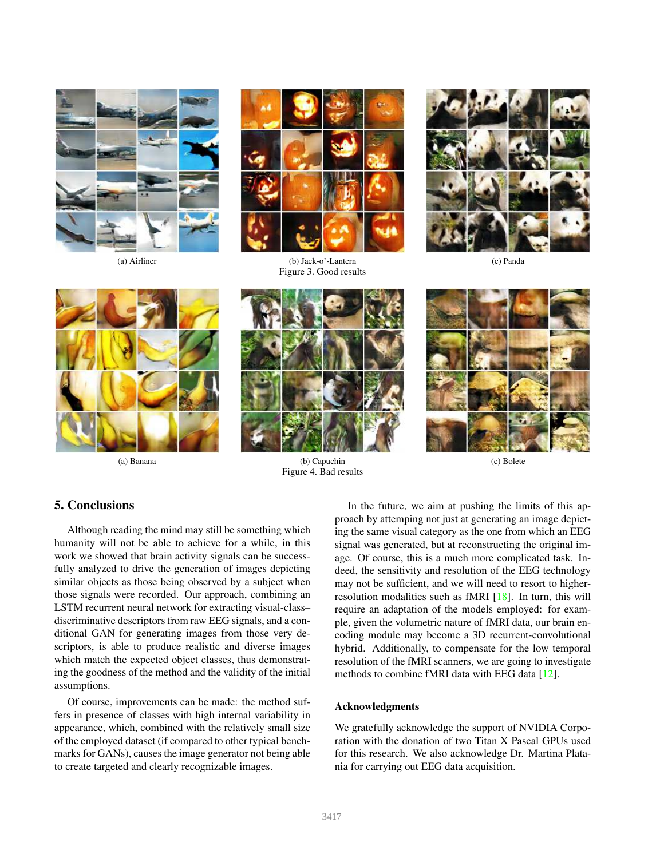<span id="page-7-2"></span>



(a) Airliner (b) Jack-o'-Lantern (c) Panda Figure 3. Good results







(a) Banana (b) Capuchin (c) Bolete Figure 4. Bad results

<span id="page-7-0"></span>

# 5. Conclusions

Although reading the mind may still be something which humanity will not be able to achieve for a while, in this work we showed that brain activity signals can be successfully analyzed to drive the generation of images depicting similar objects as those being observed by a subject when those signals were recorded. Our approach, combining an LSTM recurrent neural network for extracting visual-class– discriminative descriptors from raw EEG signals, and a conditional GAN for generating images from those very descriptors, is able to produce realistic and diverse images which match the expected object classes, thus demonstrating the goodness of the method and the validity of the initial assumptions.

Of course, improvements can be made: the method suffers in presence of classes with high internal variability in appearance, which, combined with the relatively small size of the employed dataset (if compared to other typical benchmarks for GANs), causes the image generator not being able to create targeted and clearly recognizable images.

<span id="page-7-1"></span>In the future, we aim at pushing the limits of this approach by attemping not just at generating an image depicting the same visual category as the one from which an EEG signal was generated, but at reconstructing the original image. Of course, this is a much more complicated task. Indeed, the sensitivity and resolution of the EEG technology may not be sufficient, and we will need to resort to higherresolution modalities such as fMRI [\[18\]](#page-8-14). In turn, this will require an adaptation of the models employed: for example, given the volumetric nature of fMRI data, our brain encoding module may become a 3D recurrent-convolutional hybrid. Additionally, to compensate for the low temporal resolution of the fMRI scanners, we are going to investigate methods to combine fMRI data with EEG data [\[12\]](#page-8-31).

#### Acknowledgments

We gratefully acknowledge the support of NVIDIA Corporation with the donation of two Titan X Pascal GPUs used for this research. We also acknowledge Dr. Martina Platania for carrying out EEG data acquisition.